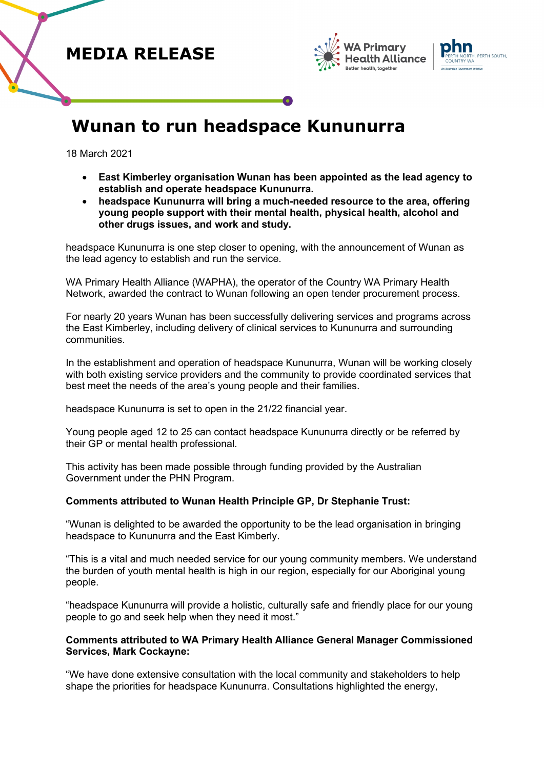





# **Wunan to run headspace Kununurra**

18 March 2021

- **East Kimberley organisation Wunan has been appointed as the lead agency to establish and operate headspace Kununurra.**
- **headspace Kununurra will bring a much-needed resource to the area, offering young people support with their mental health, physical health, alcohol and other drugs issues, and work and study.**

headspace Kununurra is one step closer to opening, with the announcement of Wunan as the lead agency to establish and run the service.

WA Primary Health Alliance (WAPHA), the operator of the Country WA Primary Health Network, awarded the contract to Wunan following an open tender procurement process.

For nearly 20 years Wunan has been successfully delivering services and programs across the East Kimberley, including delivery of clinical services to Kununurra and surrounding communities.

In the establishment and operation of headspace Kununurra, Wunan will be working closely with both existing service providers and the community to provide coordinated services that best meet the needs of the area's young people and their families.

headspace Kununurra is set to open in the 21/22 financial year.

Young people aged 12 to 25 can contact headspace Kununurra directly or be referred by their GP or mental health professional.

This activity has been made possible through funding provided by the Australian Government under the PHN Program.

# **Comments attributed to Wunan Health Principle GP, Dr Stephanie Trust:**

"Wunan is delighted to be awarded the opportunity to be the lead organisation in bringing headspace to Kununurra and the East Kimberly.

"This is a vital and much needed service for our young community members. We understand the burden of youth mental health is high in our region, especially for our Aboriginal young people.

"headspace Kununurra will provide a holistic, culturally safe and friendly place for our young people to go and seek help when they need it most."

# **Comments attributed to WA Primary Health Alliance General Manager Commissioned Services, Mark Cockayne:**

"We have done extensive consultation with the local community and stakeholders to help shape the priorities for headspace Kununurra. Consultations highlighted the energy,